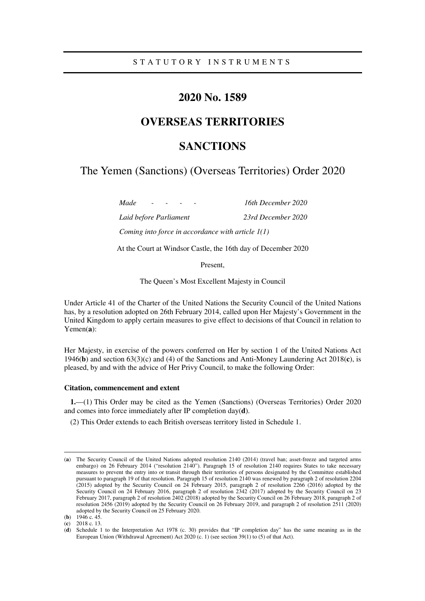## **2020 No. 1589**

# **OVERSEAS TERRITORIES**

# **SANCTIONS**

The Yemen (Sanctions) (Overseas Territories) Order 2020

*Made - - - - 16th December 2020 Laid before Parliament 23rd December 2020 Coming into force in accordance with article 1(1)* 

At the Court at Windsor Castle, the 16th day of December 2020

Present,

The Queen's Most Excellent Majesty in Council

Under Article 41 of the Charter of the United Nations the Security Council of the United Nations has, by a resolution adopted on 26th February 2014, called upon Her Majesty's Government in the United Kingdom to apply certain measures to give effect to decisions of that Council in relation to Yemen(**a**):

Her Majesty, in exercise of the powers conferred on Her by section 1 of the United Nations Act 1946(**b**) and section 63(3)(c) and (4) of the Sanctions and Anti-Money Laundering Act 2018(**c**), is pleased, by and with the advice of Her Privy Council, to make the following Order:

#### **Citation, commencement and extent**

**1.**—(1) This Order may be cited as the Yemen (Sanctions) (Overseas Territories) Order 2020 and comes into force immediately after IP completion day(**d**).

(2) This Order extends to each British overseas territory listed in Schedule 1.

-

<sup>(</sup>**a**) The Security Council of the United Nations adopted resolution 2140 (2014) (travel ban; asset-freeze and targeted arms embargo) on 26 February 2014 ("resolution 2140"). Paragraph 15 of resolution 2140 requires States to take necessary measures to prevent the entry into or transit through their territories of persons designated by the Committee established pursuant to paragraph 19 of that resolution. Paragraph 15 of resolution 2140 was renewed by paragraph 2 of resolution 2204 (2015) adopted by the Security Council on  $2\overline{4}$  February 2015, paragraph 2 of resolution 2266 (2016) adopted by the Security Council on 24 February 2016, paragraph 2 of resolution 2342 (2017) adopted by the Security Council on 23 February 2017, paragraph 2 of resolution 2402 (2018) adopted by the Security Council on 26 February 2018, paragraph 2 of resolution 2456 (2019) adopted by the Security Council on 26 February 2019, and paragraph 2 of resolution 2511 (2020) adopted by the Security Council on 25 February 2020.

<sup>(</sup>**b**) 1946 c. 45.

<sup>(</sup>**c**) 2018 c. 13.

<sup>(</sup>**d**) Schedule 1 to the Interpretation Act 1978 (c. 30) provides that "IP completion day" has the same meaning as in the European Union (Withdrawal Agreement) Act 2020 (c. 1) (see section 39(1) to (5) of that Act).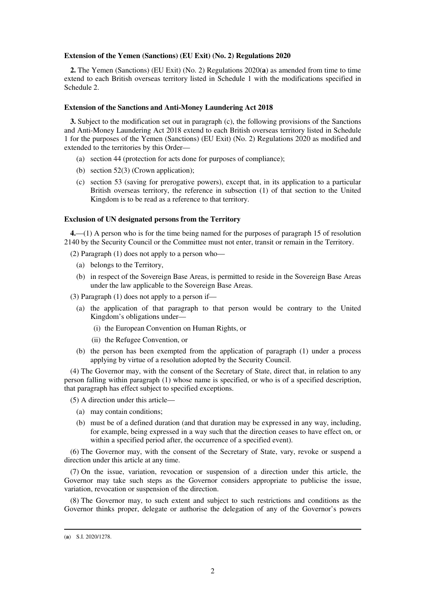#### **Extension of the Yemen (Sanctions) (EU Exit) (No. 2) Regulations 2020**

**2.** The Yemen (Sanctions) (EU Exit) (No. 2) Regulations 2020(**a**) as amended from time to time extend to each British overseas territory listed in Schedule 1 with the modifications specified in Schedule 2.

#### **Extension of the Sanctions and Anti-Money Laundering Act 2018**

**3.** Subject to the modification set out in paragraph (c), the following provisions of the Sanctions and Anti-Money Laundering Act 2018 extend to each British overseas territory listed in Schedule 1 for the purposes of the Yemen (Sanctions) (EU Exit) (No. 2) Regulations 2020 as modified and extended to the territories by this Order—

- (a) section 44 (protection for acts done for purposes of compliance);
- (b) section 52(3) (Crown application);
- (c) section 53 (saving for prerogative powers), except that, in its application to a particular British overseas territory, the reference in subsection (1) of that section to the United Kingdom is to be read as a reference to that territory.

#### **Exclusion of UN designated persons from the Territory**

**4.**—(1) A person who is for the time being named for the purposes of paragraph 15 of resolution 2140 by the Security Council or the Committee must not enter, transit or remain in the Territory.

(2) Paragraph (1) does not apply to a person who—

- (a) belongs to the Territory,
- (b) in respect of the Sovereign Base Areas, is permitted to reside in the Sovereign Base Areas under the law applicable to the Sovereign Base Areas.
- (3) Paragraph (1) does not apply to a person if—
	- (a) the application of that paragraph to that person would be contrary to the United Kingdom's obligations under—
		- (i) the European Convention on Human Rights, or
		- (ii) the Refugee Convention, or
	- (b) the person has been exempted from the application of paragraph (1) under a process applying by virtue of a resolution adopted by the Security Council.

(4) The Governor may, with the consent of the Secretary of State, direct that, in relation to any person falling within paragraph (1) whose name is specified, or who is of a specified description, that paragraph has effect subject to specified exceptions.

(5) A direction under this article—

- (a) may contain conditions;
- (b) must be of a defined duration (and that duration may be expressed in any way, including, for example, being expressed in a way such that the direction ceases to have effect on, or within a specified period after, the occurrence of a specified event).

(6) The Governor may, with the consent of the Secretary of State, vary, revoke or suspend a direction under this article at any time.

(7) On the issue, variation, revocation or suspension of a direction under this article, the Governor may take such steps as the Governor considers appropriate to publicise the issue, variation, revocation or suspension of the direction.

(8) The Governor may, to such extent and subject to such restrictions and conditions as the Governor thinks proper, delegate or authorise the delegation of any of the Governor's powers

-

<sup>(</sup>**a**) S.I. 2020/1278.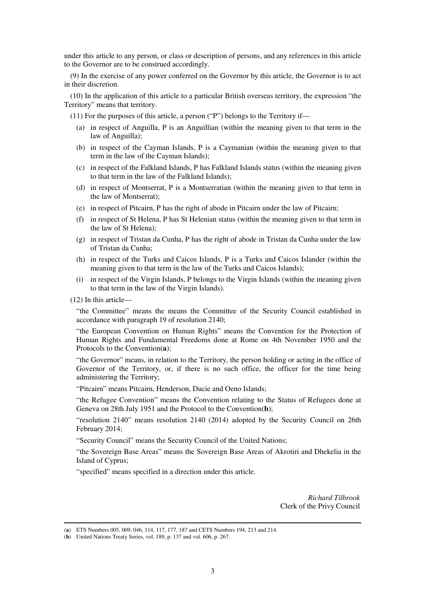under this article to any person, or class or description of persons, and any references in this article to the Governor are to be construed accordingly.

(9) In the exercise of any power conferred on the Governor by this article, the Governor is to act in their discretion.

(10) In the application of this article to a particular British overseas territory, the expression "the Territory" means that territory.

(11) For the purposes of this article, a person ("P") belongs to the Territory if—

- (a) in respect of Anguilla, P is an Anguillian (within the meaning given to that term in the law of Anguilla);
- (b) in respect of the Cayman Islands, P is a Caymanian (within the meaning given to that term in the law of the Cayman Islands);
- (c) in respect of the Falkland Islands, P has Falkland Islands status (within the meaning given to that term in the law of the Falkland Islands);
- (d) in respect of Montserrat, P is a Montserratian (within the meaning given to that term in the law of Montserrat);
- (e) in respect of Pitcairn, P has the right of abode in Pitcairn under the law of Pitcairn;
- (f) in respect of St Helena, P has St Helenian status (within the meaning given to that term in the law of St Helena);
- (g) in respect of Tristan da Cunha, P has the right of abode in Tristan da Cunha under the law of Tristan da Cunha;
- (h) in respect of the Turks and Caicos Islands, P is a Turks and Caicos Islander (within the meaning given to that term in the law of the Turks and Caicos Islands);
- (i) in respect of the Virgin Islands, P belongs to the Virgin Islands (within the meaning given to that term in the law of the Virgin Islands).
- (12) In this article—

-

"the Committee" means the means the Committee of the Security Council established in accordance with paragraph 19 of resolution 2140;

"the European Convention on Human Rights" means the Convention for the Protection of Human Rights and Fundamental Freedoms done at Rome on 4th November 1950 and the Protocols to the Convention(**a**);

"the Governor" means, in relation to the Territory, the person holding or acting in the office of Governor of the Territory, or, if there is no such office, the officer for the time being administering the Territory;

"Pitcairn" means Pitcairn, Henderson, Ducie and Oeno Islands;

"the Refugee Convention" means the Convention relating to the Status of Refugees done at Geneva on 28th July 1951 and the Protocol to the Convention(**b**);

"resolution 2140" means resolution 2140 (2014) adopted by the Security Council on 26th February 2014;

"Security Council" means the Security Council of the United Nations;

"the Sovereign Base Areas" means the Sovereign Base Areas of Akrotiri and Dhekelia in the Island of Cyprus;

"specified" means specified in a direction under this article.

*Richard Tilbrook* Clerk of the Privy Council

<sup>(</sup>**a**) ETS Numbers 005, 009, 046, 114, 117, 177, 187 and CETS Numbers 194, 213 and 214.

<sup>(</sup>**b**) United Nations Treaty Series, vol. 189, p. 137 and vol. 606, p. 267.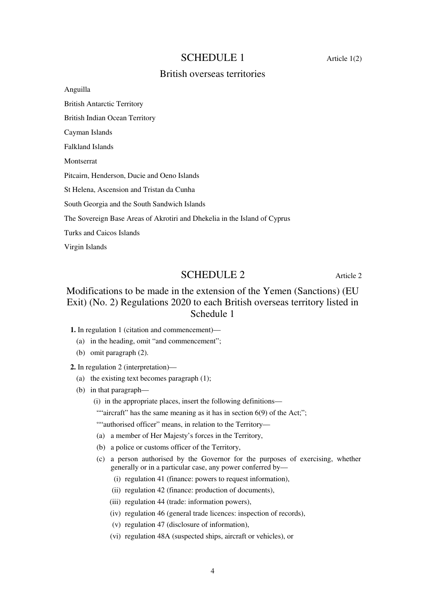### SCHEDULE 1 Article 1(2)

### British overseas territories

Anguilla British Antarctic Territory British Indian Ocean Territory Cayman Islands Falkland Islands Montserrat Pitcairn, Henderson, Ducie and Oeno Islands St Helena, Ascension and Tristan da Cunha South Georgia and the South Sandwich Islands The Sovereign Base Areas of Akrotiri and Dhekelia in the Island of Cyprus Turks and Caicos Islands Virgin Islands

### SCHEDULE 2 Article 2

# Modifications to be made in the extension of the Yemen (Sanctions) (EU Exit) (No. 2) Regulations 2020 to each British overseas territory listed in Schedule 1

**1.** In regulation 1 (citation and commencement)—

- (a) in the heading, omit "and commencement";
- (b) omit paragraph (2).

**2.** In regulation 2 (interpretation)—

- (a) the existing text becomes paragraph  $(1)$ ;
- (b) in that paragraph—
	- (i) in the appropriate places, insert the following definitions—
	- ""aircraft" has the same meaning as it has in section  $6(9)$  of the Act;";

""authorised officer" means, in relation to the Territory-

- (a) a member of Her Majesty's forces in the Territory,
- (b) a police or customs officer of the Territory,
- (c) a person authorised by the Governor for the purposes of exercising, whether generally or in a particular case, any power conferred by—
	- (i) regulation 41 (finance: powers to request information),
	- (ii) regulation 42 (finance: production of documents),
	- (iii) regulation 44 (trade: information powers),
	- (iv) regulation 46 (general trade licences: inspection of records),
	- (v) regulation 47 (disclosure of information),
	- (vi) regulation 48A (suspected ships, aircraft or vehicles), or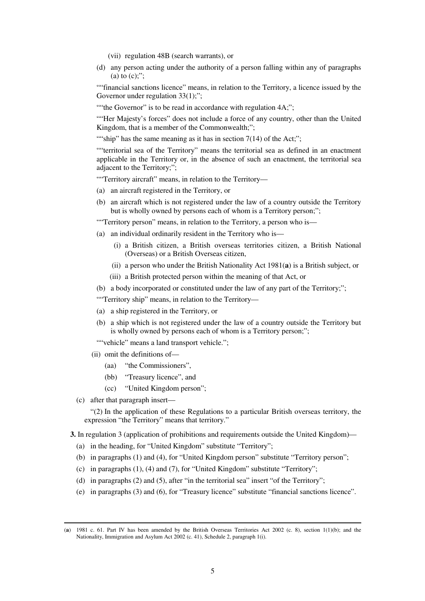- (vii) regulation 48B (search warrants), or
- (d) any person acting under the authority of a person falling within any of paragraphs (a) to  $(c)$ ;":

""financial sanctions licence" means, in relation to the Territory, a licence issued by the Governor under regulation 33(1);";

""the Governor" is to be read in accordance with regulation 4A;";

""Her Majesty's forces" does not include a force of any country, other than the United Kingdom, that is a member of the Commonwealth;";

""ship" has the same meaning as it has in section  $7(14)$  of the Act;";

""territorial sea of the Territory" means the territorial sea as defined in an enactment applicable in the Territory or, in the absence of such an enactment, the territorial sea adjacent to the Territory;";

""Territory aircraft" means, in relation to the Territory—

- (a) an aircraft registered in the Territory, or
- (b) an aircraft which is not registered under the law of a country outside the Territory but is wholly owned by persons each of whom is a Territory person;";

"Territory person" means, in relation to the Territory, a person who is—

- (a) an individual ordinarily resident in the Territory who is—
	- (i) a British citizen, a British overseas territories citizen, a British National (Overseas) or a British Overseas citizen,
	- (ii) a person who under the British Nationality Act 1981(**a**) is a British subject, or
	- (iii) a British protected person within the meaning of that Act, or
- (b) a body incorporated or constituted under the law of any part of the Territory;";
- ""Territory ship" means, in relation to the Territory—
- (a) a ship registered in the Territory, or
- (b) a ship which is not registered under the law of a country outside the Territory but is wholly owned by persons each of whom is a Territory person;";

""vehicle" means a land transport vehicle.";

- (ii) omit the definitions of—
	- (aa) "the Commissioners",
	- (bb) "Treasury licence", and
	- (cc) "United Kingdom person";
- (c) after that paragraph insert—

-

"(2) In the application of these Regulations to a particular British overseas territory, the expression "the Territory" means that territory."

**3.** In regulation 3 (application of prohibitions and requirements outside the United Kingdom)—

- (a) in the heading, for "United Kingdom" substitute "Territory";
- (b) in paragraphs (1) and (4), for "United Kingdom person" substitute "Territory person";
- (c) in paragraphs (1), (4) and (7), for "United Kingdom" substitute "Territory";
- (d) in paragraphs (2) and (5), after "in the territorial sea" insert "of the Territory";
- (e) in paragraphs (3) and (6), for "Treasury licence" substitute "financial sanctions licence".

<sup>(</sup>**a**) 1981 c. 61. Part IV has been amended by the British Overseas Territories Act 2002 (c. 8), section 1(1)(b); and the Nationality, Immigration and Asylum Act 2002 (c. 41), Schedule 2, paragraph 1(i).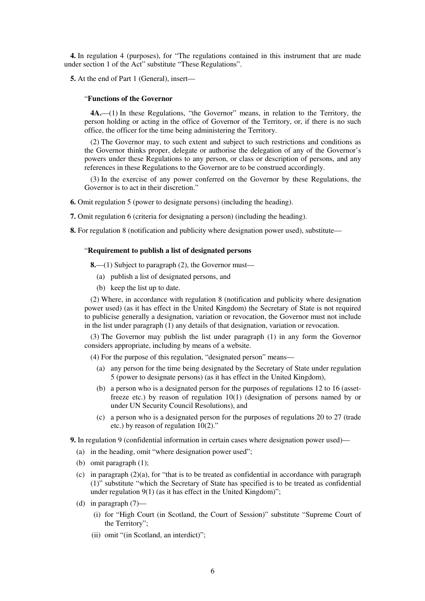**4.** In regulation 4 (purposes), for "The regulations contained in this instrument that are made under section 1 of the Act" substitute "These Regulations".

**5.** At the end of Part 1 (General), insert—

#### "**Functions of the Governor**

**4A.**—(1) In these Regulations, "the Governor" means, in relation to the Territory, the person holding or acting in the office of Governor of the Territory, or, if there is no such office, the officer for the time being administering the Territory.

(2) The Governor may, to such extent and subject to such restrictions and conditions as the Governor thinks proper, delegate or authorise the delegation of any of the Governor's powers under these Regulations to any person, or class or description of persons, and any references in these Regulations to the Governor are to be construed accordingly.

(3) In the exercise of any power conferred on the Governor by these Regulations, the Governor is to act in their discretion."

**6.** Omit regulation 5 (power to designate persons) (including the heading).

**7.** Omit regulation 6 (criteria for designating a person) (including the heading).

**8.** For regulation 8 (notification and publicity where designation power used), substitute—

#### "**Requirement to publish a list of designated persons**

**8.**—(1) Subject to paragraph (2), the Governor must—

- (a) publish a list of designated persons, and
- (b) keep the list up to date.

(2) Where, in accordance with regulation 8 (notification and publicity where designation power used) (as it has effect in the United Kingdom) the Secretary of State is not required to publicise generally a designation, variation or revocation, the Governor must not include in the list under paragraph (1) any details of that designation, variation or revocation.

(3) The Governor may publish the list under paragraph (1) in any form the Governor considers appropriate, including by means of a website.

(4) For the purpose of this regulation, "designated person" means—

- (a) any person for the time being designated by the Secretary of State under regulation 5 (power to designate persons) (as it has effect in the United Kingdom),
- (b) a person who is a designated person for the purposes of regulations 12 to 16 (assetfreeze etc.) by reason of regulation 10(1) (designation of persons named by or under UN Security Council Resolutions), and
- (c) a person who is a designated person for the purposes of regulations 20 to 27 (trade etc.) by reason of regulation 10(2)."

**9.** In regulation 9 (confidential information in certain cases where designation power used)—

- (a) in the heading, omit "where designation power used";
- (b) omit paragraph (1);
- (c) in paragraph (2)(a), for "that is to be treated as confidential in accordance with paragraph (1)" substitute "which the Secretary of State has specified is to be treated as confidential under regulation  $9(1)$  (as it has effect in the United Kingdom)";
- (d) in paragraph (7)—
	- (i) for "High Court (in Scotland, the Court of Session)" substitute "Supreme Court of the Territory";
	- (ii) omit "(in Scotland, an interdict)";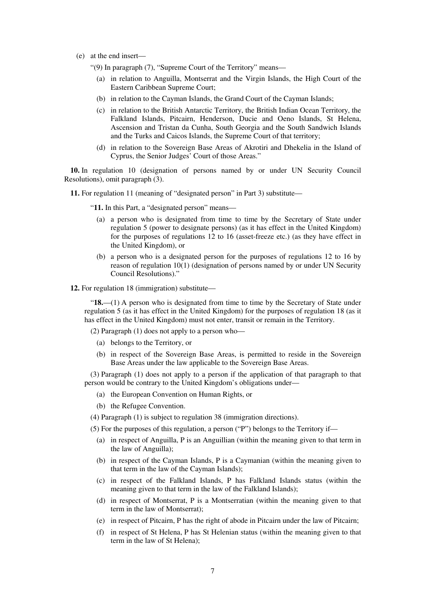(e) at the end insert—

"(9) In paragraph (7), "Supreme Court of the Territory" means—

- (a) in relation to Anguilla, Montserrat and the Virgin Islands, the High Court of the Eastern Caribbean Supreme Court;
- (b) in relation to the Cayman Islands, the Grand Court of the Cayman Islands;
- (c) in relation to the British Antarctic Territory, the British Indian Ocean Territory, the Falkland Islands, Pitcairn, Henderson, Ducie and Oeno Islands, St Helena, Ascension and Tristan da Cunha, South Georgia and the South Sandwich Islands and the Turks and Caicos Islands, the Supreme Court of that territory;
- (d) in relation to the Sovereign Base Areas of Akrotiri and Dhekelia in the Island of Cyprus, the Senior Judges' Court of those Areas."

**10.** In regulation 10 (designation of persons named by or under UN Security Council Resolutions), omit paragraph (3).

**11.** For regulation 11 (meaning of "designated person" in Part 3) substitute—

"**11.** In this Part, a "designated person" means—

- (a) a person who is designated from time to time by the Secretary of State under regulation 5 (power to designate persons) (as it has effect in the United Kingdom) for the purposes of regulations 12 to 16 (asset-freeze etc.) (as they have effect in the United Kingdom), or
- (b) a person who is a designated person for the purposes of regulations 12 to 16 by reason of regulation 10(1) (designation of persons named by or under UN Security Council Resolutions)."

**12.** For regulation 18 (immigration) substitute—

"**18.**—(1) A person who is designated from time to time by the Secretary of State under regulation 5 (as it has effect in the United Kingdom) for the purposes of regulation 18 (as it has effect in the United Kingdom) must not enter, transit or remain in the Territory.

(2) Paragraph (1) does not apply to a person who—

- (a) belongs to the Territory, or
- (b) in respect of the Sovereign Base Areas, is permitted to reside in the Sovereign Base Areas under the law applicable to the Sovereign Base Areas.

(3) Paragraph (1) does not apply to a person if the application of that paragraph to that person would be contrary to the United Kingdom's obligations under—

- (a) the European Convention on Human Rights, or
- (b) the Refugee Convention.

(4) Paragraph (1) is subject to regulation 38 (immigration directions).

(5) For the purposes of this regulation, a person ("P") belongs to the Territory if—

- (a) in respect of Anguilla, P is an Anguillian (within the meaning given to that term in the law of Anguilla);
- (b) in respect of the Cayman Islands, P is a Caymanian (within the meaning given to that term in the law of the Cayman Islands);
- (c) in respect of the Falkland Islands, P has Falkland Islands status (within the meaning given to that term in the law of the Falkland Islands);
- (d) in respect of Montserrat, P is a Montserratian (within the meaning given to that term in the law of Montserrat);
- (e) in respect of Pitcairn, P has the right of abode in Pitcairn under the law of Pitcairn;
- (f) in respect of St Helena, P has St Helenian status (within the meaning given to that term in the law of St Helena);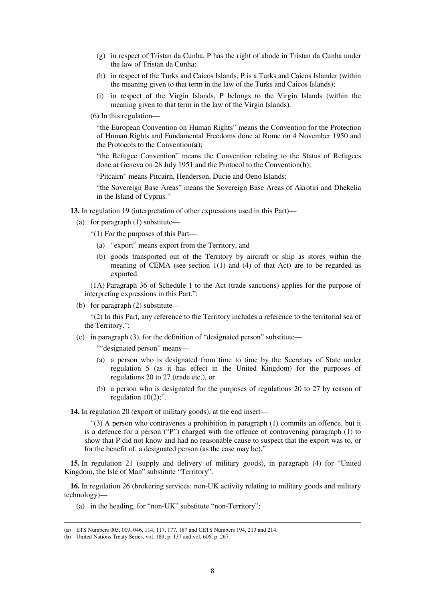- (g) in respect of Tristan da Cunha, P has the right of abode in Tristan da Cunha under the law of Tristan da Cunha;
- (h) in respect of the Turks and Caicos Islands, P is a Turks and Caicos Islander (within the meaning given to that term in the law of the Turks and Caicos Islands);
- (i) in respect of the Virgin Islands, P belongs to the Virgin Islands (within the meaning given to that term in the law of the Virgin Islands).
- (6) In this regulation—

"the European Convention on Human Rights" means the Convention for the Protection of Human Rights and Fundamental Freedoms done at Rome on 4 November 1950 and the Protocols to the Convention(**a**);

"the Refugee Convention" means the Convention relating to the Status of Refugees done at Geneva on 28 July 1951 and the Protocol to the Convention(**b**);

"Pitcairn" means Pitcairn, Henderson, Ducie and Oeno Islands;

"the Sovereign Base Areas" means the Sovereign Base Areas of Akrotiri and Dhekelia in the Island of Cyprus."

**13.** In regulation 19 (interpretation of other expressions used in this Part)—

(a) for paragraph (1) substitute—

"(1) For the purposes of this Part—

- (a) "export" means export from the Territory, and
- (b) goods transported out of the Territory by aircraft or ship as stores within the meaning of CEMA (see section 1(1) and (4) of that Act) are to be regarded as exported.

(1A) Paragraph 36 of Schedule 1 to the Act (trade sanctions) applies for the purpose of interpreting expressions in this Part.";

(b) for paragraph (2) substitute—

"(2) In this Part, any reference to the Territory includes a reference to the territorial sea of the Territory.";

(c) in paragraph (3), for the definition of "designated person" substitute—

""designated person" means-

- (a) a person who is designated from time to time by the Secretary of State under regulation 5 (as it has effect in the United Kingdom) for the purposes of regulations 20 to 27 (trade etc.), or
- (b) a person who is designated for the purposes of regulations 20 to 27 by reason of regulation  $10(2)$ ;".

**14.** In regulation 20 (export of military goods), at the end insert—

"(3) A person who contravenes a prohibition in paragraph (1) commits an offence, but it is a defence for a person ("P") charged with the offence of contravening paragraph (1) to show that P did not know and had no reasonable cause to suspect that the export was to, or for the benefit of, a designated person (as the case may be)."

**15.** In regulation 21 (supply and delivery of military goods), in paragraph (4) for "United Kingdom, the Isle of Man" substitute "Territory".

**16.** In regulation 26 (brokering services: non-UK activity relating to military goods and military technology)—

(a) in the heading, for "non-UK" substitute "non-Territory";

-

<sup>(</sup>**a**) ETS Numbers 005, 009, 046, 114, 117, 177, 187 and CETS Numbers 194, 213 and 214.

<sup>(</sup>**b**) United Nations Treaty Series, vol. 189, p. 137 and vol. 606, p. 267.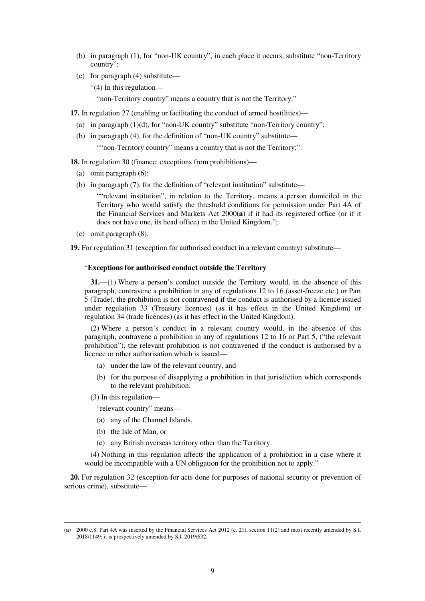- (b) in paragraph (1), for "non-UK country", in each place it occurs, substitute "non-Territory country";
- (c) for paragraph (4) substitute—

"(4) In this regulation—

"non-Territory country" means a country that is not the Territory."

**17.** In regulation 27 (enabling or facilitating the conduct of armed hostilities)—

- (a) in paragraph  $(1)(d)$ , for "non-UK country" substitute "non-Territory country";
- (b) in paragraph (4), for the definition of "non-UK country" substitute— "" non-Territory country" means a country that is not the Territory;".

**18.** In regulation 30 (finance: exceptions from prohibitions)—

- (a) omit paragraph (6);
- (b) in paragraph (7), for the definition of "relevant institution" substitute—

""relevant institution", in relation to the Territory, means a person domiciled in the Territory who would satisfy the threshold conditions for permission under Part 4A of the Financial Services and Markets Act 2000(**a**) if it had its registered office (or if it does not have one, its head office) in the United Kingdom.";

(c) omit paragraph (8).

**19.** For regulation 31 (exception for authorised conduct in a relevant country) substitute—

#### "**Exceptions for authorised conduct outside the Territory**

**31.**—(1) Where a person's conduct outside the Territory would, in the absence of this paragraph, contravene a prohibition in any of regulations 12 to 16 (asset-freeze etc.) or Part 5 (Trade), the prohibition is not contravened if the conduct is authorised by a licence issued under regulation 33 (Treasury licences) (as it has effect in the United Kingdom) or regulation 34 (trade licences) (as it has effect in the United Kingdom).

(2) Where a person's conduct in a relevant country would, in the absence of this paragraph, contravene a prohibition in any of regulations 12 to 16 or Part 5, ("the relevant prohibition"), the relevant prohibition is not contravened if the conduct is authorised by a licence or other authorisation which is issued—

- (a) under the law of the relevant country, and
- (b) for the purpose of disapplying a prohibition in that jurisdiction which corresponds to the relevant prohibition.

(3) In this regulation—

"relevant country" means—

- (a) any of the Channel Islands,
- (b) the Isle of Man, or

-

(c) any British overseas territory other than the Territory.

(4) Nothing in this regulation affects the application of a prohibition in a case where it would be incompatible with a UN obligation for the prohibition not to apply."

**20.** For regulation 32 (exception for acts done for purposes of national security or prevention of serious crime), substitute—

<sup>(</sup>**a**) 2000 c.8. Part 4A was inserted by the Financial Services Act 2012 (c. 21), section 11(2) and most recently amended by S.I. 2018/1149; it is prospectively amended by S.I. 2019/632.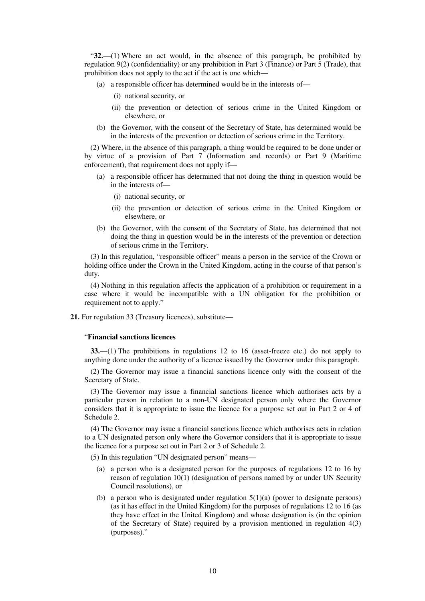"**32.**—(1) Where an act would, in the absence of this paragraph, be prohibited by regulation 9(2) (confidentiality) or any prohibition in Part 3 (Finance) or Part 5 (Trade), that prohibition does not apply to the act if the act is one which—

- (a) a responsible officer has determined would be in the interests of—
	- (i) national security, or
	- (ii) the prevention or detection of serious crime in the United Kingdom or elsewhere, or
- (b) the Governor, with the consent of the Secretary of State, has determined would be in the interests of the prevention or detection of serious crime in the Territory.

(2) Where, in the absence of this paragraph, a thing would be required to be done under or by virtue of a provision of Part 7 (Information and records) or Part 9 (Maritime enforcement), that requirement does not apply if—

- (a) a responsible officer has determined that not doing the thing in question would be in the interests of—
	- (i) national security, or
	- (ii) the prevention or detection of serious crime in the United Kingdom or elsewhere, or
- (b) the Governor, with the consent of the Secretary of State, has determined that not doing the thing in question would be in the interests of the prevention or detection of serious crime in the Territory.

(3) In this regulation, "responsible officer" means a person in the service of the Crown or holding office under the Crown in the United Kingdom, acting in the course of that person's duty.

(4) Nothing in this regulation affects the application of a prohibition or requirement in a case where it would be incompatible with a UN obligation for the prohibition or requirement not to apply."

**21.** For regulation 33 (Treasury licences), substitute—

#### "**Financial sanctions licences**

**33.**—(1) The prohibitions in regulations 12 to 16 (asset-freeze etc.) do not apply to anything done under the authority of a licence issued by the Governor under this paragraph.

(2) The Governor may issue a financial sanctions licence only with the consent of the Secretary of State.

(3) The Governor may issue a financial sanctions licence which authorises acts by a particular person in relation to a non-UN designated person only where the Governor considers that it is appropriate to issue the licence for a purpose set out in Part 2 or 4 of Schedule 2.

(4) The Governor may issue a financial sanctions licence which authorises acts in relation to a UN designated person only where the Governor considers that it is appropriate to issue the licence for a purpose set out in Part 2 or 3 of Schedule 2.

(5) In this regulation "UN designated person" means—

- (a) a person who is a designated person for the purposes of regulations 12 to 16 by reason of regulation 10(1) (designation of persons named by or under UN Security Council resolutions), or
- (b) a person who is designated under regulation  $5(1)(a)$  (power to designate persons) (as it has effect in the United Kingdom) for the purposes of regulations 12 to 16 (as they have effect in the United Kingdom) and whose designation is (in the opinion of the Secretary of State) required by a provision mentioned in regulation 4(3) (purposes)."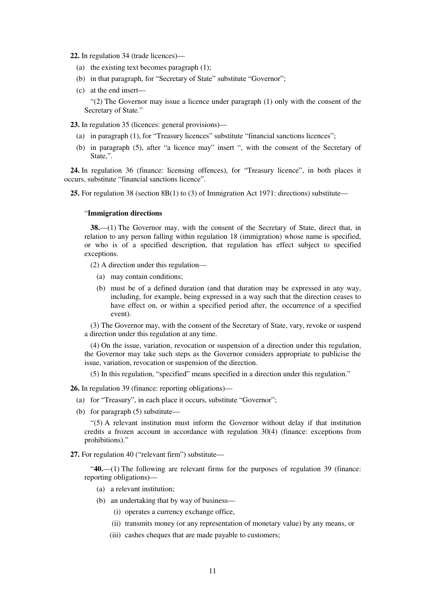**22.** In regulation 34 (trade licences)—

- (a) the existing text becomes paragraph (1);
- (b) in that paragraph, for "Secretary of State" substitute "Governor";
- (c) at the end insert— "(2) The Governor may issue a licence under paragraph (1) only with the consent of the Secretary of State."

**23.** In regulation 35 (licences: general provisions)—

- (a) in paragraph (1), for "Treasury licences" substitute "financial sanctions licences";
- (b) in paragraph (5), after "a licence may" insert ", with the consent of the Secretary of State,".

**24.** In regulation 36 (finance: licensing offences), for "Treasury licence", in both places it occurs, substitute "financial sanctions licence".

**25.** For regulation 38 (section 8B(1) to (3) of Immigration Act 1971: directions) substitute—

#### "**Immigration directions**

**38.**—(1) The Governor may, with the consent of the Secretary of State, direct that, in relation to any person falling within regulation 18 (immigration) whose name is specified, or who is of a specified description, that regulation has effect subject to specified exceptions.

(2) A direction under this regulation—

- (a) may contain conditions;
- (b) must be of a defined duration (and that duration may be expressed in any way, including, for example, being expressed in a way such that the direction ceases to have effect on, or within a specified period after, the occurrence of a specified event).

(3) The Governor may, with the consent of the Secretary of State, vary, revoke or suspend a direction under this regulation at any time.

(4) On the issue, variation, revocation or suspension of a direction under this regulation, the Governor may take such steps as the Governor considers appropriate to publicise the issue, variation, revocation or suspension of the direction.

(5) In this regulation, "specified" means specified in a direction under this regulation."

**26.** In regulation 39 (finance: reporting obligations)—

- (a) for "Treasury", in each place it occurs, substitute "Governor";
- (b) for paragraph (5) substitute—

"(5) A relevant institution must inform the Governor without delay if that institution credits a frozen account in accordance with regulation 30(4) (finance: exceptions from prohibitions)."

**27.** For regulation 40 ("relevant firm") substitute—

"**40.**—(1) The following are relevant firms for the purposes of regulation 39 (finance: reporting obligations)—

- (a) a relevant institution;
- (b) an undertaking that by way of business—
	- (i) operates a currency exchange office,
	- (ii) transmits money (or any representation of monetary value) by any means, or
	- (iii) cashes cheques that are made payable to customers;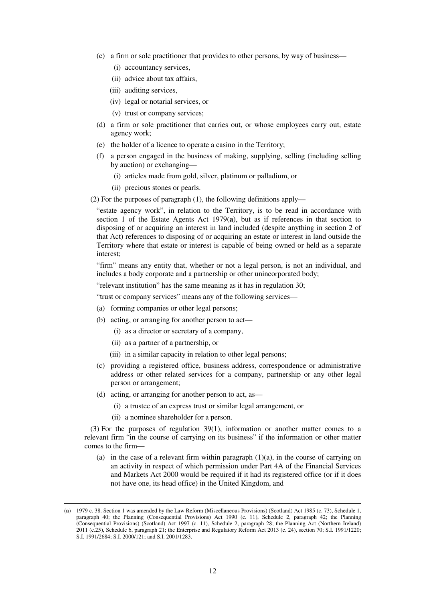- (c) a firm or sole practitioner that provides to other persons, by way of business—
	- (i) accountancy services,
	- (ii) advice about tax affairs,
	- (iii) auditing services,
	- (iv) legal or notarial services, or
	- (v) trust or company services;
- (d) a firm or sole practitioner that carries out, or whose employees carry out, estate agency work;
- (e) the holder of a licence to operate a casino in the Territory;
- (f) a person engaged in the business of making, supplying, selling (including selling by auction) or exchanging—
	- (i) articles made from gold, silver, platinum or palladium, or
	- (ii) precious stones or pearls.

(2) For the purposes of paragraph (1), the following definitions apply—

"estate agency work", in relation to the Territory, is to be read in accordance with section 1 of the Estate Agents Act 1979(**a**), but as if references in that section to disposing of or acquiring an interest in land included (despite anything in section 2 of that Act) references to disposing of or acquiring an estate or interest in land outside the Territory where that estate or interest is capable of being owned or held as a separate interest;

"firm" means any entity that, whether or not a legal person, is not an individual, and includes a body corporate and a partnership or other unincorporated body;

"relevant institution" has the same meaning as it has in regulation 30;

"trust or company services" means any of the following services—

- (a) forming companies or other legal persons;
- (b) acting, or arranging for another person to act—
	- (i) as a director or secretary of a company,
	- (ii) as a partner of a partnership, or
	- (iii) in a similar capacity in relation to other legal persons;
- (c) providing a registered office, business address, correspondence or administrative address or other related services for a company, partnership or any other legal person or arrangement;
- (d) acting, or arranging for another person to act, as—
	- (i) a trustee of an express trust or similar legal arrangement, or
	- (ii) a nominee shareholder for a person.

-

(3) For the purposes of regulation 39(1), information or another matter comes to a relevant firm "in the course of carrying on its business" if the information or other matter comes to the firm—

(a) in the case of a relevant firm within paragraph  $(1)(a)$ , in the course of carrying on an activity in respect of which permission under Part 4A of the Financial Services and Markets Act 2000 would be required if it had its registered office (or if it does not have one, its head office) in the United Kingdom, and

<sup>(</sup>**a**) 1979 c. 38. Section 1 was amended by the Law Reform (Miscellaneous Provisions) (Scotland) Act 1985 (c. 73), Schedule 1, paragraph 40; the Planning (Consequential Provisions) Act 1990 (c. 11), Schedule 2, paragraph 42; the Planning (Consequential Provisions) (Scotland) Act 1997 (c. 11), Schedule 2, paragraph 28; the Planning Act (Northern Ireland) 2011 (c.25), Schedule 6, paragraph 21; the Enterprise and Regulatory Reform Act 2013 (c. 24), section 70; S.I. 1991/1220; S.I. 1991/2684; S.I. 2000/121; and S.I. 2001/1283.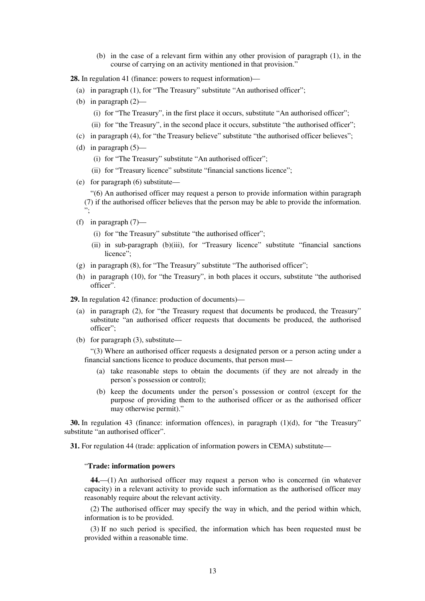(b) in the case of a relevant firm within any other provision of paragraph (1), in the course of carrying on an activity mentioned in that provision."

**28.** In regulation 41 (finance: powers to request information)—

- (a) in paragraph (1), for "The Treasury" substitute "An authorised officer";
- (b) in paragraph (2)—
	- (i) for "The Treasury", in the first place it occurs, substitute "An authorised officer";
	- (ii) for "the Treasury", in the second place it occurs, substitute "the authorised officer";
- (c) in paragraph (4), for "the Treasury believe" substitute "the authorised officer believes";
- (d) in paragraph  $(5)$ 
	- (i) for "The Treasury" substitute "An authorised officer";
	- (ii) for "Treasury licence" substitute "financial sanctions licence";
- (e) for paragraph (6) substitute—

"(6) An authorised officer may request a person to provide information within paragraph (7) if the authorised officer believes that the person may be able to provide the information. ";

- (f) in paragraph  $(7)$ 
	- (i) for "the Treasury" substitute "the authorised officer";
	- (ii) in sub-paragraph (b)(iii), for "Treasury licence" substitute "financial sanctions licence";
- (g) in paragraph (8), for "The Treasury" substitute "The authorised officer";
- (h) in paragraph (10), for "the Treasury", in both places it occurs, substitute "the authorised officer".
- **29.** In regulation 42 (finance: production of documents)—
	- (a) in paragraph (2), for "the Treasury request that documents be produced, the Treasury" substitute "an authorised officer requests that documents be produced, the authorised officer";
	- (b) for paragraph (3), substitute—

"(3) Where an authorised officer requests a designated person or a person acting under a financial sanctions licence to produce documents, that person must—

- (a) take reasonable steps to obtain the documents (if they are not already in the person's possession or control);
- (b) keep the documents under the person's possession or control (except for the purpose of providing them to the authorised officer or as the authorised officer may otherwise permit)."

**30.** In regulation 43 (finance: information offences), in paragraph (1)(d), for "the Treasury" substitute "an authorised officer".

**31.** For regulation 44 (trade: application of information powers in CEMA) substitute—

#### "**Trade: information powers**

**44.**—(1) An authorised officer may request a person who is concerned (in whatever capacity) in a relevant activity to provide such information as the authorised officer may reasonably require about the relevant activity.

(2) The authorised officer may specify the way in which, and the period within which, information is to be provided.

(3) If no such period is specified, the information which has been requested must be provided within a reasonable time.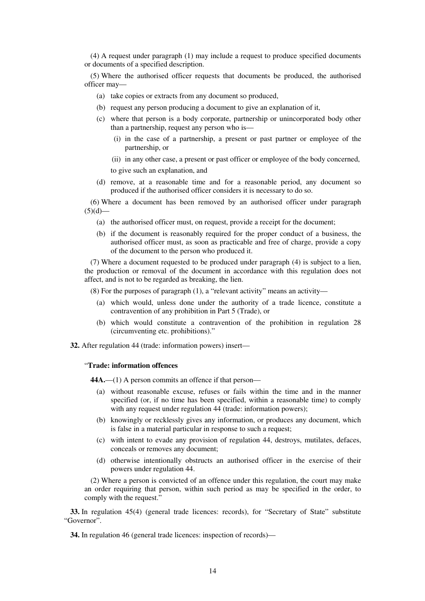(4) A request under paragraph (1) may include a request to produce specified documents or documents of a specified description.

(5) Where the authorised officer requests that documents be produced, the authorised officer may—

- (a) take copies or extracts from any document so produced,
- (b) request any person producing a document to give an explanation of it,
- (c) where that person is a body corporate, partnership or unincorporated body other than a partnership, request any person who is—
	- (i) in the case of a partnership, a present or past partner or employee of the partnership, or
	- (ii) in any other case, a present or past officer or employee of the body concerned,

to give such an explanation, and

(d) remove, at a reasonable time and for a reasonable period, any document so produced if the authorised officer considers it is necessary to do so.

(6) Where a document has been removed by an authorised officer under paragraph  $(5)(d)$ —

- (a) the authorised officer must, on request, provide a receipt for the document;
- (b) if the document is reasonably required for the proper conduct of a business, the authorised officer must, as soon as practicable and free of charge, provide a copy of the document to the person who produced it.

(7) Where a document requested to be produced under paragraph (4) is subject to a lien, the production or removal of the document in accordance with this regulation does not affect, and is not to be regarded as breaking, the lien.

 $(8)$  For the purposes of paragraph  $(1)$ , a "relevant activity" means an activity—

- (a) which would, unless done under the authority of a trade licence, constitute a contravention of any prohibition in Part 5 (Trade), or
- (b) which would constitute a contravention of the prohibition in regulation 28 (circumventing etc. prohibitions)."
- **32.** After regulation 44 (trade: information powers) insert—

#### "**Trade: information offences**

**44A.**—(1) A person commits an offence if that person—

- (a) without reasonable excuse, refuses or fails within the time and in the manner specified (or, if no time has been specified, within a reasonable time) to comply with any request under regulation 44 (trade: information powers);
- (b) knowingly or recklessly gives any information, or produces any document, which is false in a material particular in response to such a request;
- (c) with intent to evade any provision of regulation 44, destroys, mutilates, defaces, conceals or removes any document;
- (d) otherwise intentionally obstructs an authorised officer in the exercise of their powers under regulation 44.

(2) Where a person is convicted of an offence under this regulation, the court may make an order requiring that person, within such period as may be specified in the order, to comply with the request."

**33.** In regulation 45(4) (general trade licences: records), for "Secretary of State" substitute "Governor".

**34.** In regulation 46 (general trade licences: inspection of records)—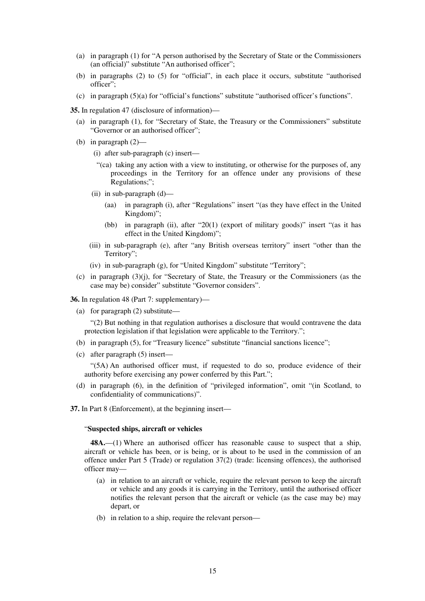- (a) in paragraph (1) for "A person authorised by the Secretary of State or the Commissioners (an official)" substitute "An authorised officer";
- (b) in paragraphs (2) to (5) for "official", in each place it occurs, substitute "authorised officer";
- (c) in paragraph (5)(a) for "official's functions" substitute "authorised officer's functions".

**35.** In regulation 47 (disclosure of information)—

- (a) in paragraph (1), for "Secretary of State, the Treasury or the Commissioners" substitute "Governor or an authorised officer";
- (b) in paragraph (2)—
	- (i) after sub-paragraph (c) insert—
	- "(ca) taking any action with a view to instituting, or otherwise for the purposes of, any proceedings in the Territory for an offence under any provisions of these Regulations;";
	- (ii) in sub-paragraph (d)—
		- (aa) in paragraph (i), after "Regulations" insert "(as they have effect in the United Kingdom)";
		- (bb) in paragraph (ii), after "20(1) (export of military goods)" insert "(as it has effect in the United Kingdom)";
	- (iii) in sub-paragraph (e), after "any British overseas territory" insert "other than the Territory";
	- (iv) in sub-paragraph (g), for "United Kingdom" substitute "Territory";
- (c) in paragraph (3)(j), for "Secretary of State, the Treasury or the Commissioners (as the case may be) consider" substitute "Governor considers".

**36.** In regulation 48 (Part 7: supplementary)—

(a) for paragraph (2) substitute—

"(2) But nothing in that regulation authorises a disclosure that would contravene the data protection legislation if that legislation were applicable to the Territory.";

- (b) in paragraph (5), for "Treasury licence" substitute "financial sanctions licence";
- (c) after paragraph (5) insert—

"(5A) An authorised officer must, if requested to do so, produce evidence of their authority before exercising any power conferred by this Part.";

- (d) in paragraph (6), in the definition of "privileged information", omit "(in Scotland, to confidentiality of communications)".
- **37.** In Part 8 (Enforcement), at the beginning insert—

#### "**Suspected ships, aircraft or vehicles**

**48A.**—(1) Where an authorised officer has reasonable cause to suspect that a ship, aircraft or vehicle has been, or is being, or is about to be used in the commission of an offence under Part 5 (Trade) or regulation 37(2) (trade: licensing offences), the authorised officer may—

- (a) in relation to an aircraft or vehicle, require the relevant person to keep the aircraft or vehicle and any goods it is carrying in the Territory, until the authorised officer notifies the relevant person that the aircraft or vehicle (as the case may be) may depart, or
- (b) in relation to a ship, require the relevant person—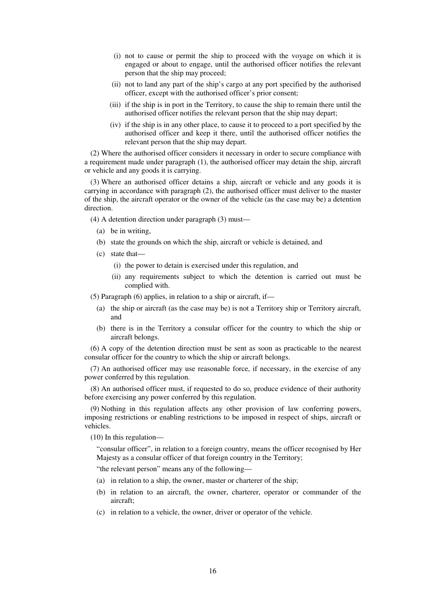- (i) not to cause or permit the ship to proceed with the voyage on which it is engaged or about to engage, until the authorised officer notifies the relevant person that the ship may proceed;
- (ii) not to land any part of the ship's cargo at any port specified by the authorised officer, except with the authorised officer's prior consent;
- (iii) if the ship is in port in the Territory, to cause the ship to remain there until the authorised officer notifies the relevant person that the ship may depart;
- (iv) if the ship is in any other place, to cause it to proceed to a port specified by the authorised officer and keep it there, until the authorised officer notifies the relevant person that the ship may depart.

(2) Where the authorised officer considers it necessary in order to secure compliance with a requirement made under paragraph (1), the authorised officer may detain the ship, aircraft or vehicle and any goods it is carrying.

(3) Where an authorised officer detains a ship, aircraft or vehicle and any goods it is carrying in accordance with paragraph (2), the authorised officer must deliver to the master of the ship, the aircraft operator or the owner of the vehicle (as the case may be) a detention direction.

(4) A detention direction under paragraph (3) must—

- (a) be in writing,
- (b) state the grounds on which the ship, aircraft or vehicle is detained, and
- (c) state that—
	- (i) the power to detain is exercised under this regulation, and
	- (ii) any requirements subject to which the detention is carried out must be complied with.

(5) Paragraph (6) applies, in relation to a ship or aircraft, if—

- (a) the ship or aircraft (as the case may be) is not a Territory ship or Territory aircraft, and
- (b) there is in the Territory a consular officer for the country to which the ship or aircraft belongs.

(6) A copy of the detention direction must be sent as soon as practicable to the nearest consular officer for the country to which the ship or aircraft belongs.

(7) An authorised officer may use reasonable force, if necessary, in the exercise of any power conferred by this regulation.

(8) An authorised officer must, if requested to do so, produce evidence of their authority before exercising any power conferred by this regulation.

(9) Nothing in this regulation affects any other provision of law conferring powers, imposing restrictions or enabling restrictions to be imposed in respect of ships, aircraft or vehicles.

(10) In this regulation—

"consular officer", in relation to a foreign country, means the officer recognised by Her Majesty as a consular officer of that foreign country in the Territory;

"the relevant person" means any of the following—

- (a) in relation to a ship, the owner, master or charterer of the ship;
- (b) in relation to an aircraft, the owner, charterer, operator or commander of the aircraft;
- (c) in relation to a vehicle, the owner, driver or operator of the vehicle.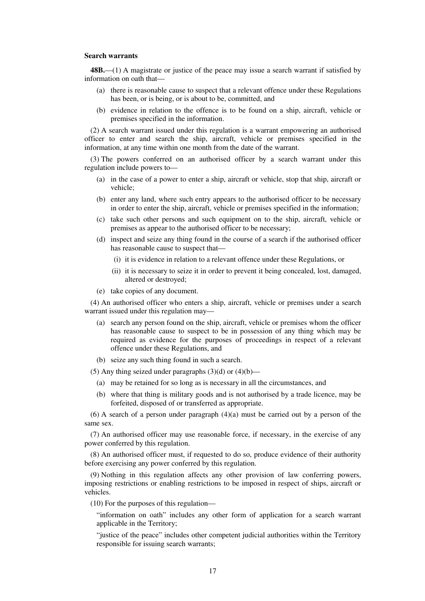#### **Search warrants**

**48B.**—(1) A magistrate or justice of the peace may issue a search warrant if satisfied by information on oath that—

- (a) there is reasonable cause to suspect that a relevant offence under these Regulations has been, or is being, or is about to be, committed, and
- (b) evidence in relation to the offence is to be found on a ship, aircraft, vehicle or premises specified in the information.

(2) A search warrant issued under this regulation is a warrant empowering an authorised officer to enter and search the ship, aircraft, vehicle or premises specified in the information, at any time within one month from the date of the warrant.

(3) The powers conferred on an authorised officer by a search warrant under this regulation include powers to—

- (a) in the case of a power to enter a ship, aircraft or vehicle, stop that ship, aircraft or vehicle;
- (b) enter any land, where such entry appears to the authorised officer to be necessary in order to enter the ship, aircraft, vehicle or premises specified in the information;
- (c) take such other persons and such equipment on to the ship, aircraft, vehicle or premises as appear to the authorised officer to be necessary;
- (d) inspect and seize any thing found in the course of a search if the authorised officer has reasonable cause to suspect that—
	- (i) it is evidence in relation to a relevant offence under these Regulations, or
	- (ii) it is necessary to seize it in order to prevent it being concealed, lost, damaged, altered or destroyed;
- (e) take copies of any document.

(4) An authorised officer who enters a ship, aircraft, vehicle or premises under a search warrant issued under this regulation may—

- (a) search any person found on the ship, aircraft, vehicle or premises whom the officer has reasonable cause to suspect to be in possession of any thing which may be required as evidence for the purposes of proceedings in respect of a relevant offence under these Regulations, and
- (b) seize any such thing found in such a search.

(5) Any thing seized under paragraphs  $(3)(d)$  or  $(4)(b)$ —

- (a) may be retained for so long as is necessary in all the circumstances, and
- (b) where that thing is military goods and is not authorised by a trade licence, may be forfeited, disposed of or transferred as appropriate.

 $(6)$  A search of a person under paragraph  $(4)(a)$  must be carried out by a person of the same sex.

(7) An authorised officer may use reasonable force, if necessary, in the exercise of any power conferred by this regulation.

(8) An authorised officer must, if requested to do so, produce evidence of their authority before exercising any power conferred by this regulation.

(9) Nothing in this regulation affects any other provision of law conferring powers, imposing restrictions or enabling restrictions to be imposed in respect of ships, aircraft or vehicles.

(10) For the purposes of this regulation—

"information on oath" includes any other form of application for a search warrant applicable in the Territory;

"justice of the peace" includes other competent judicial authorities within the Territory responsible for issuing search warrants;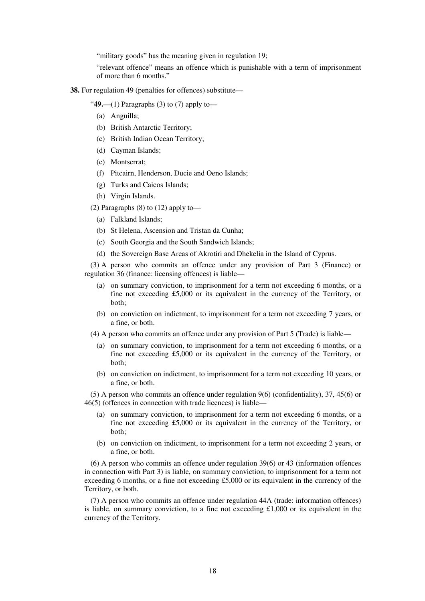"military goods" has the meaning given in regulation 19;

"relevant offence" means an offence which is punishable with a term of imprisonment of more than 6 months."

**38.** For regulation 49 (penalties for offences) substitute—

"**49.**—(1) Paragraphs (3) to (7) apply to—

- (a) Anguilla;
- (b) British Antarctic Territory;
- (c) British Indian Ocean Territory;
- (d) Cayman Islands;
- (e) Montserrat;
- (f) Pitcairn, Henderson, Ducie and Oeno Islands;
- (g) Turks and Caicos Islands;
- (h) Virgin Islands.

(2) Paragraphs  $(8)$  to  $(12)$  apply to-

- (a) Falkland Islands;
- (b) St Helena, Ascension and Tristan da Cunha;
- (c) South Georgia and the South Sandwich Islands;
- (d) the Sovereign Base Areas of Akrotiri and Dhekelia in the Island of Cyprus.

(3) A person who commits an offence under any provision of Part 3 (Finance) or regulation 36 (finance: licensing offences) is liable—

- (a) on summary conviction, to imprisonment for a term not exceeding 6 months, or a fine not exceeding £5,000 or its equivalent in the currency of the Territory, or both;
- (b) on conviction on indictment, to imprisonment for a term not exceeding 7 years, or a fine, or both.
- (4) A person who commits an offence under any provision of Part 5 (Trade) is liable—
	- (a) on summary conviction, to imprisonment for a term not exceeding 6 months, or a fine not exceeding £5,000 or its equivalent in the currency of the Territory, or both;
	- (b) on conviction on indictment, to imprisonment for a term not exceeding 10 years, or a fine, or both.

(5) A person who commits an offence under regulation 9(6) (confidentiality), 37, 45(6) or 46(5) (offences in connection with trade licences) is liable—

- (a) on summary conviction, to imprisonment for a term not exceeding 6 months, or a fine not exceeding £5,000 or its equivalent in the currency of the Territory, or both;
- (b) on conviction on indictment, to imprisonment for a term not exceeding 2 years, or a fine, or both.

(6) A person who commits an offence under regulation 39(6) or 43 (information offences in connection with Part 3) is liable, on summary conviction, to imprisonment for a term not exceeding 6 months, or a fine not exceeding £5,000 or its equivalent in the currency of the Territory, or both.

(7) A person who commits an offence under regulation 44A (trade: information offences) is liable, on summary conviction, to a fine not exceeding  $\text{\pounds}1,000$  or its equivalent in the currency of the Territory.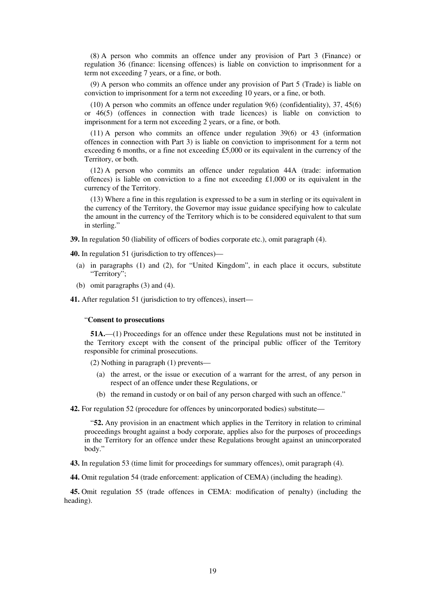(8) A person who commits an offence under any provision of Part 3 (Finance) or regulation 36 (finance: licensing offences) is liable on conviction to imprisonment for a term not exceeding 7 years, or a fine, or both.

(9) A person who commits an offence under any provision of Part 5 (Trade) is liable on conviction to imprisonment for a term not exceeding 10 years, or a fine, or both.

(10) A person who commits an offence under regulation 9(6) (confidentiality), 37, 45(6) or 46(5) (offences in connection with trade licences) is liable on conviction to imprisonment for a term not exceeding 2 years, or a fine, or both.

(11) A person who commits an offence under regulation 39(6) or 43 (information offences in connection with Part 3) is liable on conviction to imprisonment for a term not exceeding 6 months, or a fine not exceeding £5,000 or its equivalent in the currency of the Territory, or both.

(12) A person who commits an offence under regulation 44A (trade: information offences) is liable on conviction to a fine not exceeding £1,000 or its equivalent in the currency of the Territory.

(13) Where a fine in this regulation is expressed to be a sum in sterling or its equivalent in the currency of the Territory, the Governor may issue guidance specifying how to calculate the amount in the currency of the Territory which is to be considered equivalent to that sum in sterling."

**39.** In regulation 50 (liability of officers of bodies corporate etc.), omit paragraph (4).

**40.** In regulation 51 (jurisdiction to try offences)—

- (a) in paragraphs (1) and (2), for "United Kingdom", in each place it occurs, substitute "Territory";
- (b) omit paragraphs (3) and (4).

**41.** After regulation 51 (jurisdiction to try offences), insert—

#### "**Consent to prosecutions**

**51A.**—(1) Proceedings for an offence under these Regulations must not be instituted in the Territory except with the consent of the principal public officer of the Territory responsible for criminal prosecutions.

(2) Nothing in paragraph (1) prevents—

- (a) the arrest, or the issue or execution of a warrant for the arrest, of any person in respect of an offence under these Regulations, or
- (b) the remand in custody or on bail of any person charged with such an offence."

**42.** For regulation 52 (procedure for offences by unincorporated bodies) substitute—

"**52.** Any provision in an enactment which applies in the Territory in relation to criminal proceedings brought against a body corporate, applies also for the purposes of proceedings in the Territory for an offence under these Regulations brought against an unincorporated body."

**43.** In regulation 53 (time limit for proceedings for summary offences), omit paragraph (4).

**44.** Omit regulation 54 (trade enforcement: application of CEMA) (including the heading).

**45.** Omit regulation 55 (trade offences in CEMA: modification of penalty) (including the heading).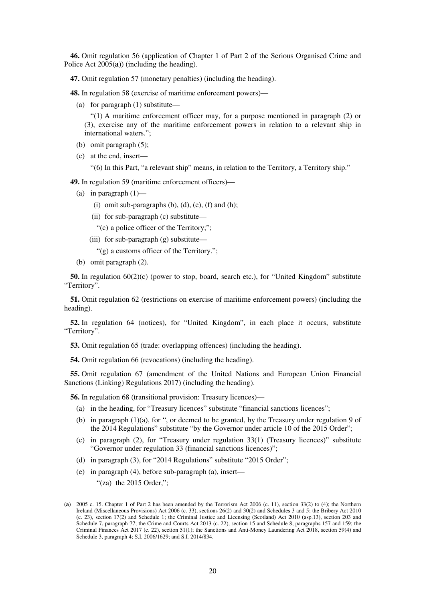**46.** Omit regulation 56 (application of Chapter 1 of Part 2 of the Serious Organised Crime and Police Act 2005(**a**)) (including the heading).

**47.** Omit regulation 57 (monetary penalties) (including the heading).

**48.** In regulation 58 (exercise of maritime enforcement powers)—

(a) for paragraph (1) substitute—

"(1) A maritime enforcement officer may, for a purpose mentioned in paragraph (2) or (3), exercise any of the maritime enforcement powers in relation to a relevant ship in international waters.";

- (b) omit paragraph (5);
- (c) at the end, insert—

"(6) In this Part, "a relevant ship" means, in relation to the Territory, a Territory ship."

**49.** In regulation 59 (maritime enforcement officers)—

- (a) in paragraph  $(1)$ 
	- (i) omit sub-paragraphs (b), (d), (e), (f) and (h);
	- (ii) for sub-paragraph (c) substitute—

"(c) a police officer of the Territory;";

- (iii) for sub-paragraph (g) substitute—
	- "(g) a customs officer of the Territory.";
- (b) omit paragraph (2).

**50.** In regulation 60(2)(c) (power to stop, board, search etc.), for "United Kingdom" substitute "Territory".

**51.** Omit regulation 62 (restrictions on exercise of maritime enforcement powers) (including the heading).

**52.** In regulation 64 (notices), for "United Kingdom", in each place it occurs, substitute "Territory".

**53.** Omit regulation 65 (trade: overlapping offences) (including the heading).

**54.** Omit regulation 66 (revocations) (including the heading).

**55.** Omit regulation 67 (amendment of the United Nations and European Union Financial Sanctions (Linking) Regulations 2017) (including the heading).

**56.** In regulation 68 (transitional provision: Treasury licences)—

- (a) in the heading, for "Treasury licences" substitute "financial sanctions licences";
- (b) in paragraph (1)(a), for ", or deemed to be granted, by the Treasury under regulation 9 of the 2014 Regulations" substitute "by the Governor under article 10 of the 2015 Order";
- (c) in paragraph (2), for "Treasury under regulation 33(1) (Treasury licences)" substitute "Governor under regulation 33 (financial sanctions licences)";
- (d) in paragraph (3), for "2014 Regulations" substitute "2015 Order";
- (e) in paragraph (4), before sub-paragraph (a), insert—

" $(za)$  the 2015 Order.":

-

<sup>(</sup>**a**) 2005 c. 15. Chapter 1 of Part 2 has been amended by the Terrorism Act 2006 (c. 11), section 33(2) to (4); the Northern Ireland (Miscellaneous Provisions) Act 2006 (c. 33), sections 26(2) and 30(2) and Schedules 3 and 5; the Bribery Act 2010 (c. 23), section 17(2) and Schedule 1; the Criminal Justice and Licensing (Scotland) Act 2010 (asp.13), section 203 and Schedule 7, paragraph 77; the Crime and Courts Act 2013 (c. 22), section 15 and Schedule 8, paragraphs 157 and 159; the Criminal Finances Act 2017 (c. 22), section 51(1); the Sanctions and Anti-Money Laundering Act 2018, section 59(4) and Schedule 3, paragraph 4; S.I. 2006/1629; and S.I. 2014/834.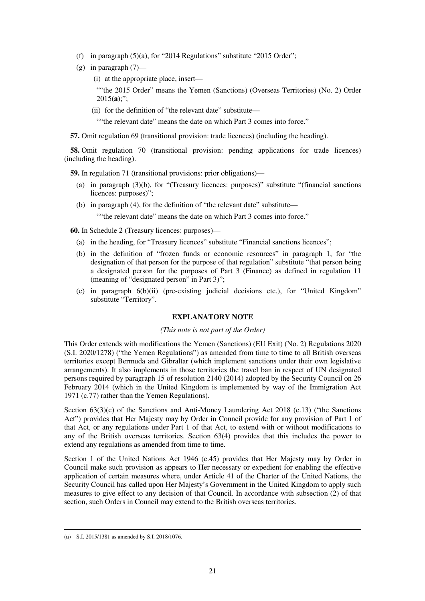- (f) in paragraph  $(5)(a)$ , for "2014 Regulations" substitute "2015 Order";
- $(g)$  in paragraph  $(7)$ 
	- (i) at the appropriate place, insert—

""the 2015 Order" means the Yemen (Sanctions) (Overseas Territories) (No. 2) Order  $2015(a)$ ;";

(ii) for the definition of "the relevant date" substitute—

""the relevant date" means the date on which Part 3 comes into force."

**57.** Omit regulation 69 (transitional provision: trade licences) (including the heading).

**58.** Omit regulation 70 (transitional provision: pending applications for trade licences) (including the heading).

**59.** In regulation 71 (transitional provisions: prior obligations)—

- (a) in paragraph (3)(b), for "(Treasury licences: purposes)" substitute "(financial sanctions licences: purposes)";
- (b) in paragraph (4), for the definition of "the relevant date" substitute—

""the relevant date" means the date on which Part 3 comes into force."

**60.** In Schedule 2 (Treasury licences: purposes)—

- (a) in the heading, for "Treasury licences" substitute "Financial sanctions licences";
- (b) in the definition of "frozen funds or economic resources" in paragraph 1, for "the designation of that person for the purpose of that regulation" substitute "that person being a designated person for the purposes of Part 3 (Finance) as defined in regulation 11 (meaning of "designated person" in Part 3)";
- (c) in paragraph 6(b)(ii) (pre-existing judicial decisions etc.), for "United Kingdom" substitute "Territory".

#### **EXPLANATORY NOTE**

#### *(This note is not part of the Order)*

This Order extends with modifications the Yemen (Sanctions) (EU Exit) (No. 2) Regulations 2020 (S.I. 2020/1278) ("the Yemen Regulations") as amended from time to time to all British overseas territories except Bermuda and Gibraltar (which implement sanctions under their own legislative arrangements). It also implements in those territories the travel ban in respect of UN designated persons required by paragraph 15 of resolution 2140 (2014) adopted by the Security Council on 26 February 2014 (which in the United Kingdom is implemented by way of the Immigration Act 1971 (c.77) rather than the Yemen Regulations).

Section 63(3)(c) of the Sanctions and Anti-Money Laundering Act 2018 (c.13) ("the Sanctions Act") provides that Her Majesty may by Order in Council provide for any provision of Part 1 of that Act, or any regulations under Part 1 of that Act, to extend with or without modifications to any of the British overseas territories. Section 63(4) provides that this includes the power to extend any regulations as amended from time to time.

Section 1 of the United Nations Act 1946 (c.45) provides that Her Majesty may by Order in Council make such provision as appears to Her necessary or expedient for enabling the effective application of certain measures where, under Article 41 of the Charter of the United Nations, the Security Council has called upon Her Majesty's Government in the United Kingdom to apply such measures to give effect to any decision of that Council. In accordance with subsection (2) of that section, such Orders in Council may extend to the British overseas territories.

<sup>-</sup>(**a**) S.I. 2015/1381 as amended by S.I. 2018/1076.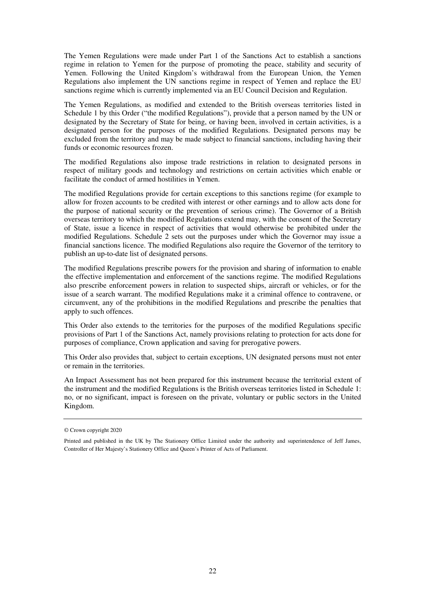The Yemen Regulations were made under Part 1 of the Sanctions Act to establish a sanctions regime in relation to Yemen for the purpose of promoting the peace, stability and security of Yemen. Following the United Kingdom's withdrawal from the European Union, the Yemen Regulations also implement the UN sanctions regime in respect of Yemen and replace the EU sanctions regime which is currently implemented via an EU Council Decision and Regulation.

The Yemen Regulations, as modified and extended to the British overseas territories listed in Schedule 1 by this Order ("the modified Regulations"), provide that a person named by the UN or designated by the Secretary of State for being, or having been, involved in certain activities, is a designated person for the purposes of the modified Regulations. Designated persons may be excluded from the territory and may be made subject to financial sanctions, including having their funds or economic resources frozen.

The modified Regulations also impose trade restrictions in relation to designated persons in respect of military goods and technology and restrictions on certain activities which enable or facilitate the conduct of armed hostilities in Yemen.

The modified Regulations provide for certain exceptions to this sanctions regime (for example to allow for frozen accounts to be credited with interest or other earnings and to allow acts done for the purpose of national security or the prevention of serious crime). The Governor of a British overseas territory to which the modified Regulations extend may, with the consent of the Secretary of State, issue a licence in respect of activities that would otherwise be prohibited under the modified Regulations. Schedule 2 sets out the purposes under which the Governor may issue a financial sanctions licence. The modified Regulations also require the Governor of the territory to publish an up-to-date list of designated persons.

The modified Regulations prescribe powers for the provision and sharing of information to enable the effective implementation and enforcement of the sanctions regime. The modified Regulations also prescribe enforcement powers in relation to suspected ships, aircraft or vehicles, or for the issue of a search warrant. The modified Regulations make it a criminal offence to contravene, or circumvent, any of the prohibitions in the modified Regulations and prescribe the penalties that apply to such offences.

This Order also extends to the territories for the purposes of the modified Regulations specific provisions of Part 1 of the Sanctions Act, namely provisions relating to protection for acts done for purposes of compliance, Crown application and saving for prerogative powers.

This Order also provides that, subject to certain exceptions, UN designated persons must not enter or remain in the territories.

An Impact Assessment has not been prepared for this instrument because the territorial extent of the instrument and the modified Regulations is the British overseas territories listed in Schedule 1: no, or no significant, impact is foreseen on the private, voluntary or public sectors in the United Kingdom.

<sup>©</sup> Crown copyright 2020

Printed and published in the UK by The Stationery Office Limited under the authority and superintendence of Jeff James, Controller of Her Majesty's Stationery Office and Queen's Printer of Acts of Parliament.